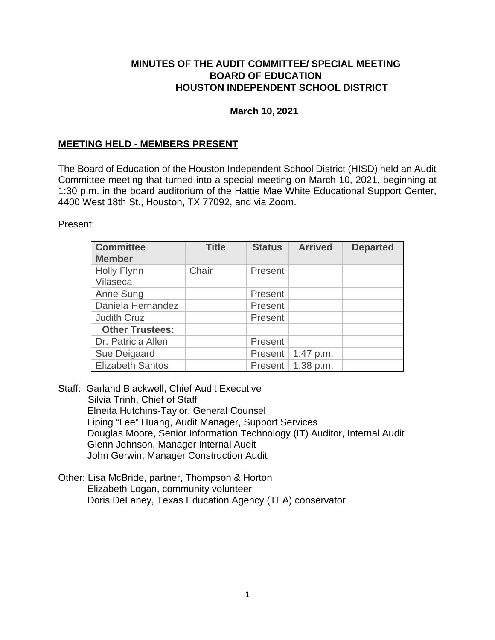### **MINUTES OF THE AUDIT COMMITTEE/ SPECIAL MEETING BOARD OF EDUCATION HOUSTON INDEPENDENT SCHOOL DISTRICT**

### **March 10, 2021**

## **MEETING HELD - MEMBERS PRESENT**

The Board of Education of the Houston Independent School District (HISD) held an Audit Committee meeting that turned into a special meeting on March 10, 2021, beginning at 1:30 p.m. in the board auditorium of the Hattie Mae White Educational Support Center, 4400 West 18th St., Houston, TX 77092, and via Zoom.

Present:

| <b>Committee</b><br><b>Member</b> | <b>Title</b> | <b>Status</b> | <b>Arrived</b> | <b>Departed</b> |
|-----------------------------------|--------------|---------------|----------------|-----------------|
| <b>Holly Flynn</b><br>Vilaseca    | Chair        | Present       |                |                 |
| Anne Sung                         |              | Present       |                |                 |
| Daniela Hernandez                 |              | Present       |                |                 |
| <b>Judith Cruz</b>                |              | Present       |                |                 |
| <b>Other Trustees:</b>            |              |               |                |                 |
| Dr. Patricia Allen                |              | Present       |                |                 |
| Sue Deigaard                      |              | Present       | 1:47 p.m.      |                 |
| <b>Elizabeth Santos</b>           |              | Present       | 1:38 p.m.      |                 |

Staff: Garland Blackwell, Chief Audit Executive Silvia Trinh, Chief of Staff Elneita Hutchins-Taylor, General Counsel Liping "Lee" Huang, Audit Manager, Support Services Douglas Moore, Senior Information Technology (IT) Auditor, Internal Audit Glenn Johnson, Manager Internal Audit John Gerwin, Manager Construction Audit

Other: Lisa McBride, partner, Thompson & Horton Elizabeth Logan, community volunteer Doris DeLaney, Texas Education Agency (TEA) conservator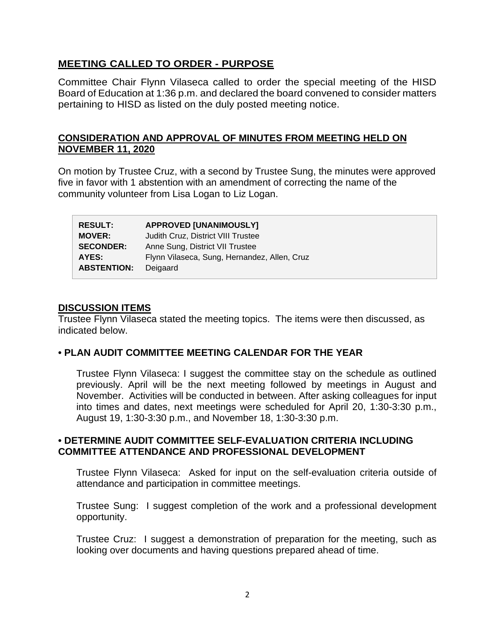## **MEETING CALLED TO ORDER - PURPOSE**

Committee Chair Flynn Vilaseca called to order the special meeting of the HISD Board of Education at 1:36 p.m. and declared the board convened to consider matters pertaining to HISD as listed on the duly posted meeting notice.

## **CONSIDERATION AND APPROVAL OF MINUTES FROM MEETING HELD ON NOVEMBER 11, 2020**

On motion by Trustee Cruz, with a second by Trustee Sung, the minutes were approved five in favor with 1 abstention with an amendment of correcting the name of the community volunteer from Lisa Logan to Liz Logan.

| <b>RESULT:</b>     | <b>APPROVED [UNANIMOUSLY]</b>                |
|--------------------|----------------------------------------------|
| <b>MOVER:</b>      | Judith Cruz, District VIII Trustee           |
| <b>SECONDER:</b>   | Anne Sung, District VII Trustee              |
| AYES:              | Flynn Vilaseca, Sung, Hernandez, Allen, Cruz |
| <b>ABSTENTION:</b> | Deigaard                                     |

#### **DISCUSSION ITEMS**

Trustee Flynn Vilaseca stated the meeting topics. The items were then discussed, as indicated below.

### **• PLAN AUDIT COMMITTEE MEETING CALENDAR FOR THE YEAR**

Trustee Flynn Vilaseca: I suggest the committee stay on the schedule as outlined previously. April will be the next meeting followed by meetings in August and November. Activities will be conducted in between. After asking colleagues for input into times and dates, next meetings were scheduled for April 20, 1:30-3:30 p.m., August 19, 1:30-3:30 p.m., and November 18, 1:30-3:30 p.m.

### **• DETERMINE AUDIT COMMITTEE SELF-EVALUATION CRITERIA INCLUDING COMMITTEE ATTENDANCE AND PROFESSIONAL DEVELOPMENT**

Trustee Flynn Vilaseca: Asked for input on the self-evaluation criteria outside of attendance and participation in committee meetings.

Trustee Sung: I suggest completion of the work and a professional development opportunity.

Trustee Cruz: I suggest a demonstration of preparation for the meeting, such as looking over documents and having questions prepared ahead of time.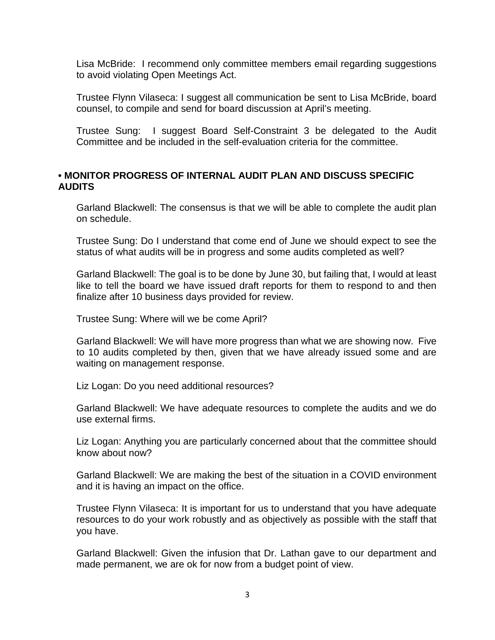Lisa McBride: I recommend only committee members email regarding suggestions to avoid violating Open Meetings Act.

Trustee Flynn Vilaseca: I suggest all communication be sent to Lisa McBride, board counsel, to compile and send for board discussion at April's meeting.

Trustee Sung: I suggest Board Self-Constraint 3 be delegated to the Audit Committee and be included in the self-evaluation criteria for the committee.

### **• MONITOR PROGRESS OF INTERNAL AUDIT PLAN AND DISCUSS SPECIFIC AUDITS**

Garland Blackwell: The consensus is that we will be able to complete the audit plan on schedule.

Trustee Sung: Do I understand that come end of June we should expect to see the status of what audits will be in progress and some audits completed as well?

Garland Blackwell: The goal is to be done by June 30, but failing that, I would at least like to tell the board we have issued draft reports for them to respond to and then finalize after 10 business days provided for review.

Trustee Sung: Where will we be come April?

Garland Blackwell: We will have more progress than what we are showing now. Five to 10 audits completed by then, given that we have already issued some and are waiting on management response.

Liz Logan: Do you need additional resources?

Garland Blackwell: We have adequate resources to complete the audits and we do use external firms.

Liz Logan: Anything you are particularly concerned about that the committee should know about now?

Garland Blackwell: We are making the best of the situation in a COVID environment and it is having an impact on the office.

Trustee Flynn Vilaseca: It is important for us to understand that you have adequate resources to do your work robustly and as objectively as possible with the staff that you have.

Garland Blackwell: Given the infusion that Dr. Lathan gave to our department and made permanent, we are ok for now from a budget point of view.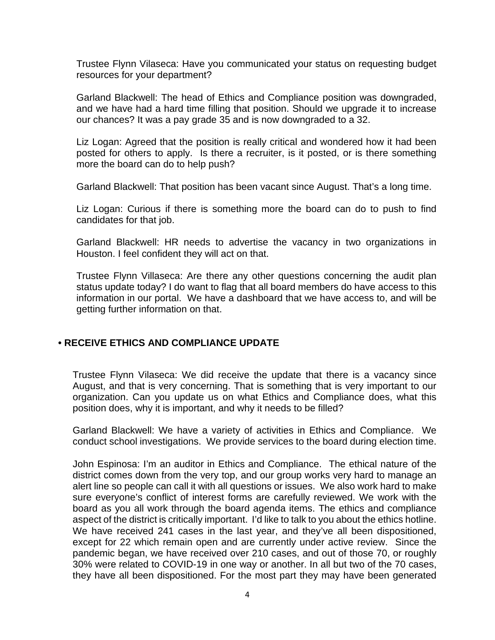Trustee Flynn Vilaseca: Have you communicated your status on requesting budget resources for your department?

Garland Blackwell: The head of Ethics and Compliance position was downgraded, and we have had a hard time filling that position. Should we upgrade it to increase our chances? It was a pay grade 35 and is now downgraded to a 32.

Liz Logan: Agreed that the position is really critical and wondered how it had been posted for others to apply. Is there a recruiter, is it posted, or is there something more the board can do to help push?

Garland Blackwell: That position has been vacant since August. That's a long time.

Liz Logan: Curious if there is something more the board can do to push to find candidates for that job.

Garland Blackwell: HR needs to advertise the vacancy in two organizations in Houston. I feel confident they will act on that.

Trustee Flynn Villaseca: Are there any other questions concerning the audit plan status update today? I do want to flag that all board members do have access to this information in our portal. We have a dashboard that we have access to, and will be getting further information on that.

### **• RECEIVE ETHICS AND COMPLIANCE UPDATE**

Trustee Flynn Vilaseca: We did receive the update that there is a vacancy since August, and that is very concerning. That is something that is very important to our organization. Can you update us on what Ethics and Compliance does, what this position does, why it is important, and why it needs to be filled?

Garland Blackwell: We have a variety of activities in Ethics and Compliance. We conduct school investigations. We provide services to the board during election time.

John Espinosa: I'm an auditor in Ethics and Compliance. The ethical nature of the district comes down from the very top, and our group works very hard to manage an alert line so people can call it with all questions or issues. We also work hard to make sure everyone's conflict of interest forms are carefully reviewed. We work with the board as you all work through the board agenda items. The ethics and compliance aspect of the district is critically important. I'd like to talk to you about the ethics hotline. We have received 241 cases in the last year, and they've all been dispositioned, except for 22 which remain open and are currently under active review. Since the pandemic began, we have received over 210 cases, and out of those 70, or roughly 30% were related to COVID-19 in one way or another. In all but two of the 70 cases, they have all been dispositioned. For the most part they may have been generated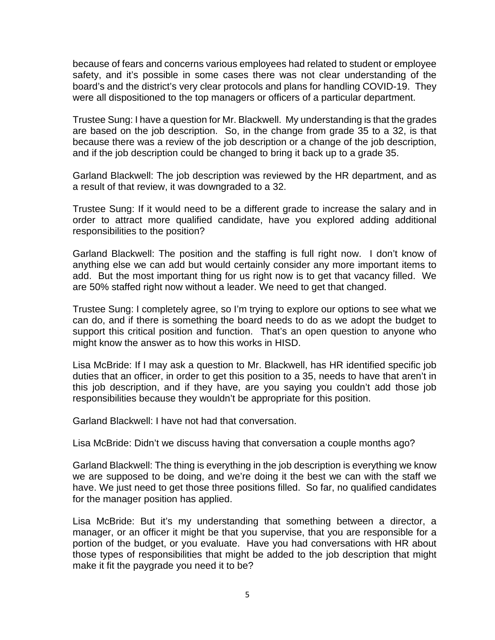because of fears and concerns various employees had related to student or employee safety, and it's possible in some cases there was not clear understanding of the board's and the district's very clear protocols and plans for handling COVID-19. They were all dispositioned to the top managers or officers of a particular department.

Trustee Sung: I have a question for Mr. Blackwell. My understanding is that the grades are based on the job description. So, in the change from grade 35 to a 32, is that because there was a review of the job description or a change of the job description, and if the job description could be changed to bring it back up to a grade 35.

Garland Blackwell: The job description was reviewed by the HR department, and as a result of that review, it was downgraded to a 32.

Trustee Sung: If it would need to be a different grade to increase the salary and in order to attract more qualified candidate, have you explored adding additional responsibilities to the position?

Garland Blackwell: The position and the staffing is full right now. I don't know of anything else we can add but would certainly consider any more important items to add. But the most important thing for us right now is to get that vacancy filled. We are 50% staffed right now without a leader. We need to get that changed.

Trustee Sung: I completely agree, so I'm trying to explore our options to see what we can do, and if there is something the board needs to do as we adopt the budget to support this critical position and function. That's an open question to anyone who might know the answer as to how this works in HISD.

Lisa McBride: If I may ask a question to Mr. Blackwell, has HR identified specific job duties that an officer, in order to get this position to a 35, needs to have that aren't in this job description, and if they have, are you saying you couldn't add those job responsibilities because they wouldn't be appropriate for this position.

Garland Blackwell: I have not had that conversation.

Lisa McBride: Didn't we discuss having that conversation a couple months ago?

Garland Blackwell: The thing is everything in the job description is everything we know we are supposed to be doing, and we're doing it the best we can with the staff we have. We just need to get those three positions filled. So far, no qualified candidates for the manager position has applied.

Lisa McBride: But it's my understanding that something between a director, a manager, or an officer it might be that you supervise, that you are responsible for a portion of the budget, or you evaluate. Have you had conversations with HR about those types of responsibilities that might be added to the job description that might make it fit the paygrade you need it to be?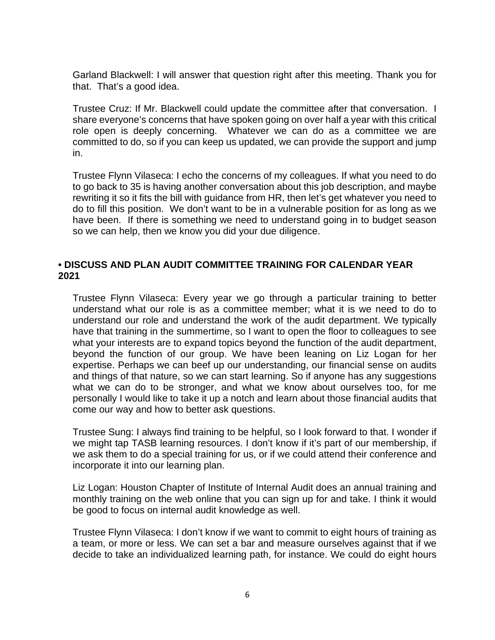Garland Blackwell: I will answer that question right after this meeting. Thank you for that. That's a good idea.

Trustee Cruz: If Mr. Blackwell could update the committee after that conversation. I share everyone's concerns that have spoken going on over half a year with this critical role open is deeply concerning. Whatever we can do as a committee we are committed to do, so if you can keep us updated, we can provide the support and jump in.

Trustee Flynn Vilaseca: I echo the concerns of my colleagues. If what you need to do to go back to 35 is having another conversation about this job description, and maybe rewriting it so it fits the bill with guidance from HR, then let's get whatever you need to do to fill this position. We don't want to be in a vulnerable position for as long as we have been. If there is something we need to understand going in to budget season so we can help, then we know you did your due diligence.

# **• DISCUSS AND PLAN AUDIT COMMITTEE TRAINING FOR CALENDAR YEAR 2021**

Trustee Flynn Vilaseca: Every year we go through a particular training to better understand what our role is as a committee member; what it is we need to do to understand our role and understand the work of the audit department. We typically have that training in the summertime, so I want to open the floor to colleagues to see what your interests are to expand topics beyond the function of the audit department, beyond the function of our group. We have been leaning on Liz Logan for her expertise. Perhaps we can beef up our understanding, our financial sense on audits and things of that nature, so we can start learning. So if anyone has any suggestions what we can do to be stronger, and what we know about ourselves too, for me personally I would like to take it up a notch and learn about those financial audits that come our way and how to better ask questions.

Trustee Sung: I always find training to be helpful, so I look forward to that. I wonder if we might tap TASB learning resources. I don't know if it's part of our membership, if we ask them to do a special training for us, or if we could attend their conference and incorporate it into our learning plan.

Liz Logan: Houston Chapter of Institute of Internal Audit does an annual training and monthly training on the web online that you can sign up for and take. I think it would be good to focus on internal audit knowledge as well.

Trustee Flynn Vilaseca: I don't know if we want to commit to eight hours of training as a team, or more or less. We can set a bar and measure ourselves against that if we decide to take an individualized learning path, for instance. We could do eight hours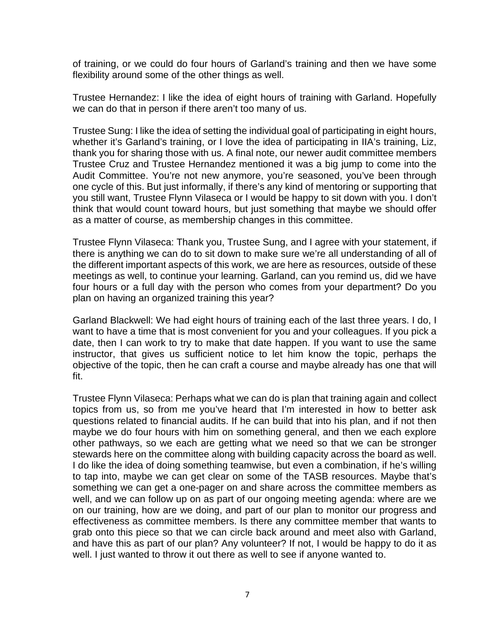of training, or we could do four hours of Garland's training and then we have some flexibility around some of the other things as well.

Trustee Hernandez: I like the idea of eight hours of training with Garland. Hopefully we can do that in person if there aren't too many of us.

Trustee Sung: I like the idea of setting the individual goal of participating in eight hours, whether it's Garland's training, or I love the idea of participating in IIA's training, Liz, thank you for sharing those with us. A final note, our newer audit committee members Trustee Cruz and Trustee Hernandez mentioned it was a big jump to come into the Audit Committee. You're not new anymore, you're seasoned, you've been through one cycle of this. But just informally, if there's any kind of mentoring or supporting that you still want, Trustee Flynn Vilaseca or I would be happy to sit down with you. I don't think that would count toward hours, but just something that maybe we should offer as a matter of course, as membership changes in this committee.

Trustee Flynn Vilaseca: Thank you, Trustee Sung, and I agree with your statement, if there is anything we can do to sit down to make sure we're all understanding of all of the different important aspects of this work, we are here as resources, outside of these meetings as well, to continue your learning. Garland, can you remind us, did we have four hours or a full day with the person who comes from your department? Do you plan on having an organized training this year?

Garland Blackwell: We had eight hours of training each of the last three years. I do, I want to have a time that is most convenient for you and your colleagues. If you pick a date, then I can work to try to make that date happen. If you want to use the same instructor, that gives us sufficient notice to let him know the topic, perhaps the objective of the topic, then he can craft a course and maybe already has one that will fit.

Trustee Flynn Vilaseca: Perhaps what we can do is plan that training again and collect topics from us, so from me you've heard that I'm interested in how to better ask questions related to financial audits. If he can build that into his plan, and if not then maybe we do four hours with him on something general, and then we each explore other pathways, so we each are getting what we need so that we can be stronger stewards here on the committee along with building capacity across the board as well. I do like the idea of doing something teamwise, but even a combination, if he's willing to tap into, maybe we can get clear on some of the TASB resources. Maybe that's something we can get a one-pager on and share across the committee members as well, and we can follow up on as part of our ongoing meeting agenda: where are we on our training, how are we doing, and part of our plan to monitor our progress and effectiveness as committee members. Is there any committee member that wants to grab onto this piece so that we can circle back around and meet also with Garland, and have this as part of our plan? Any volunteer? If not, I would be happy to do it as well. I just wanted to throw it out there as well to see if anyone wanted to.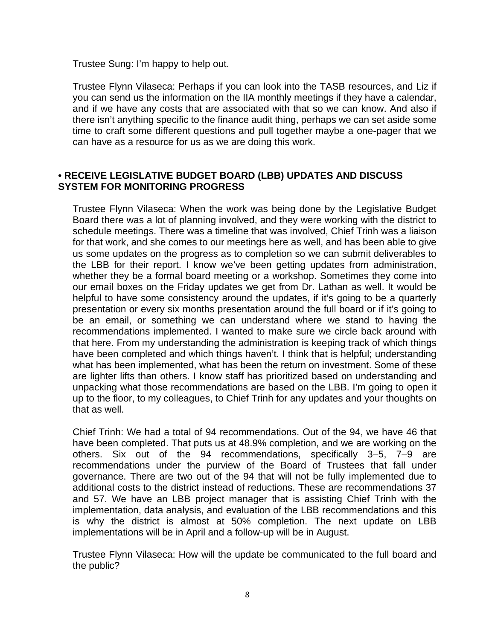Trustee Sung: I'm happy to help out.

Trustee Flynn Vilaseca: Perhaps if you can look into the TASB resources, and Liz if you can send us the information on the IIA monthly meetings if they have a calendar, and if we have any costs that are associated with that so we can know. And also if there isn't anything specific to the finance audit thing, perhaps we can set aside some time to craft some different questions and pull together maybe a one-pager that we can have as a resource for us as we are doing this work.

### **• RECEIVE LEGISLATIVE BUDGET BOARD (LBB) UPDATES AND DISCUSS SYSTEM FOR MONITORING PROGRESS**

Trustee Flynn Vilaseca: When the work was being done by the Legislative Budget Board there was a lot of planning involved, and they were working with the district to schedule meetings. There was a timeline that was involved, Chief Trinh was a liaison for that work, and she comes to our meetings here as well, and has been able to give us some updates on the progress as to completion so we can submit deliverables to the LBB for their report. I know we've been getting updates from administration, whether they be a formal board meeting or a workshop. Sometimes they come into our email boxes on the Friday updates we get from Dr. Lathan as well. It would be helpful to have some consistency around the updates, if it's going to be a quarterly presentation or every six months presentation around the full board or if it's going to be an email, or something we can understand where we stand to having the recommendations implemented. I wanted to make sure we circle back around with that here. From my understanding the administration is keeping track of which things have been completed and which things haven't. I think that is helpful; understanding what has been implemented, what has been the return on investment. Some of these are lighter lifts than others. I know staff has prioritized based on understanding and unpacking what those recommendations are based on the LBB. I'm going to open it up to the floor, to my colleagues, to Chief Trinh for any updates and your thoughts on that as well.

Chief Trinh: We had a total of 94 recommendations. Out of the 94, we have 46 that have been completed. That puts us at 48.9% completion, and we are working on the others. Six out of the 94 recommendations, specifically 3–5, 7–9 are recommendations under the purview of the Board of Trustees that fall under governance. There are two out of the 94 that will not be fully implemented due to additional costs to the district instead of reductions. These are recommendations 37 and 57. We have an LBB project manager that is assisting Chief Trinh with the implementation, data analysis, and evaluation of the LBB recommendations and this is why the district is almost at 50% completion. The next update on LBB implementations will be in April and a follow-up will be in August.

Trustee Flynn Vilaseca: How will the update be communicated to the full board and the public?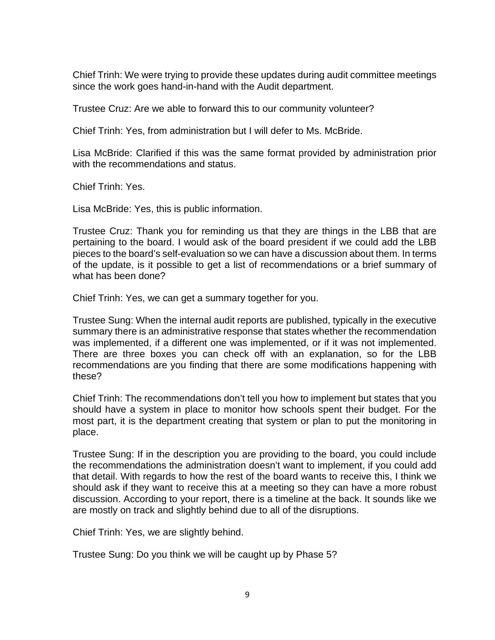Chief Trinh: We were trying to provide these updates during audit committee meetings since the work goes hand-in-hand with the Audit department.

Trustee Cruz: Are we able to forward this to our community volunteer?

Chief Trinh: Yes, from administration but I will defer to Ms. McBride.

Lisa McBride: Clarified if this was the same format provided by administration prior with the recommendations and status.

Chief Trinh: Yes.

Lisa McBride: Yes, this is public information.

Trustee Cruz: Thank you for reminding us that they are things in the LBB that are pertaining to the board. I would ask of the board president if we could add the LBB pieces to the board's self-evaluation so we can have a discussion about them. In terms of the update, is it possible to get a list of recommendations or a brief summary of what has been done?

Chief Trinh: Yes, we can get a summary together for you.

Trustee Sung: When the internal audit reports are published, typically in the executive summary there is an administrative response that states whether the recommendation was implemented, if a different one was implemented, or if it was not implemented. There are three boxes you can check off with an explanation, so for the LBB recommendations are you finding that there are some modifications happening with these?

Chief Trinh: The recommendations don't tell you how to implement but states that you should have a system in place to monitor how schools spent their budget. For the most part, it is the department creating that system or plan to put the monitoring in place.

Trustee Sung: If in the description you are providing to the board, you could include the recommendations the administration doesn't want to implement, if you could add that detail. With regards to how the rest of the board wants to receive this, I think we should ask if they want to receive this at a meeting so they can have a more robust discussion. According to your report, there is a timeline at the back. It sounds like we are mostly on track and slightly behind due to all of the disruptions.

Chief Trinh: Yes, we are slightly behind.

Trustee Sung: Do you think we will be caught up by Phase 5?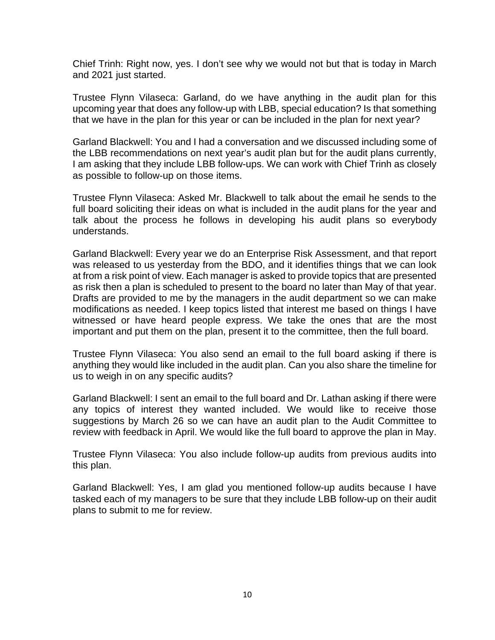Chief Trinh: Right now, yes. I don't see why we would not but that is today in March and 2021 just started.

Trustee Flynn Vilaseca: Garland, do we have anything in the audit plan for this upcoming year that does any follow-up with LBB, special education? Is that something that we have in the plan for this year or can be included in the plan for next year?

Garland Blackwell: You and I had a conversation and we discussed including some of the LBB recommendations on next year's audit plan but for the audit plans currently, I am asking that they include LBB follow-ups. We can work with Chief Trinh as closely as possible to follow-up on those items.

Trustee Flynn Vilaseca: Asked Mr. Blackwell to talk about the email he sends to the full board soliciting their ideas on what is included in the audit plans for the year and talk about the process he follows in developing his audit plans so everybody understands.

Garland Blackwell: Every year we do an Enterprise Risk Assessment, and that report was released to us yesterday from the BDO, and it identifies things that we can look at from a risk point of view. Each manager is asked to provide topics that are presented as risk then a plan is scheduled to present to the board no later than May of that year. Drafts are provided to me by the managers in the audit department so we can make modifications as needed. I keep topics listed that interest me based on things I have witnessed or have heard people express. We take the ones that are the most important and put them on the plan, present it to the committee, then the full board.

Trustee Flynn Vilaseca: You also send an email to the full board asking if there is anything they would like included in the audit plan. Can you also share the timeline for us to weigh in on any specific audits?

Garland Blackwell: I sent an email to the full board and Dr. Lathan asking if there were any topics of interest they wanted included. We would like to receive those suggestions by March 26 so we can have an audit plan to the Audit Committee to review with feedback in April. We would like the full board to approve the plan in May.

Trustee Flynn Vilaseca: You also include follow-up audits from previous audits into this plan.

Garland Blackwell: Yes, I am glad you mentioned follow-up audits because I have tasked each of my managers to be sure that they include LBB follow-up on their audit plans to submit to me for review.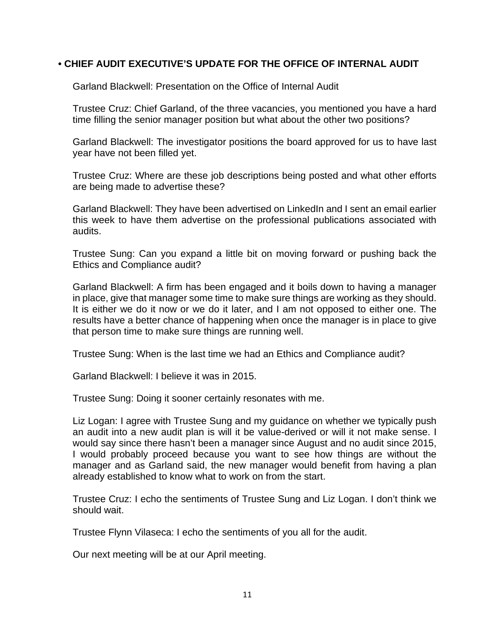### **• CHIEF AUDIT EXECUTIVE'S UPDATE FOR THE OFFICE OF INTERNAL AUDIT**

Garland Blackwell: Presentation on the Office of Internal Audit

Trustee Cruz: Chief Garland, of the three vacancies, you mentioned you have a hard time filling the senior manager position but what about the other two positions?

Garland Blackwell: The investigator positions the board approved for us to have last year have not been filled yet.

Trustee Cruz: Where are these job descriptions being posted and what other efforts are being made to advertise these?

Garland Blackwell: They have been advertised on LinkedIn and I sent an email earlier this week to have them advertise on the professional publications associated with audits.

Trustee Sung: Can you expand a little bit on moving forward or pushing back the Ethics and Compliance audit?

Garland Blackwell: A firm has been engaged and it boils down to having a manager in place, give that manager some time to make sure things are working as they should. It is either we do it now or we do it later, and I am not opposed to either one. The results have a better chance of happening when once the manager is in place to give that person time to make sure things are running well.

Trustee Sung: When is the last time we had an Ethics and Compliance audit?

Garland Blackwell: I believe it was in 2015.

Trustee Sung: Doing it sooner certainly resonates with me.

Liz Logan: I agree with Trustee Sung and my guidance on whether we typically push an audit into a new audit plan is will it be value-derived or will it not make sense. I would say since there hasn't been a manager since August and no audit since 2015, I would probably proceed because you want to see how things are without the manager and as Garland said, the new manager would benefit from having a plan already established to know what to work on from the start.

Trustee Cruz: I echo the sentiments of Trustee Sung and Liz Logan. I don't think we should wait.

Trustee Flynn Vilaseca: I echo the sentiments of you all for the audit.

Our next meeting will be at our April meeting.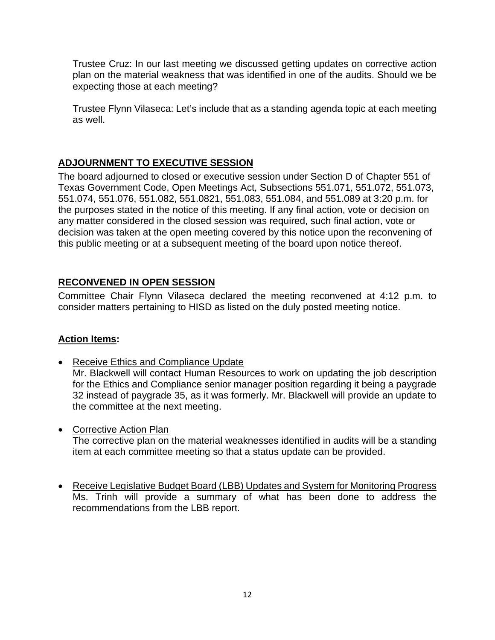Trustee Cruz: In our last meeting we discussed getting updates on corrective action plan on the material weakness that was identified in one of the audits. Should we be expecting those at each meeting?

Trustee Flynn Vilaseca: Let's include that as a standing agenda topic at each meeting as well.

# **ADJOURNMENT TO EXECUTIVE SESSION**

The board adjourned to closed or executive session under Section D of Chapter 551 of Texas Government Code, Open Meetings Act, Subsections 551.071, 551.072, 551.073, 551.074, 551.076, 551.082, 551.0821, 551.083, 551.084, and 551.089 at 3:20 p.m. for the purposes stated in the notice of this meeting. If any final action, vote or decision on any matter considered in the closed session was required, such final action, vote or decision was taken at the open meeting covered by this notice upon the reconvening of this public meeting or at a subsequent meeting of the board upon notice thereof.

# **RECONVENED IN OPEN SESSION**

Committee Chair Flynn Vilaseca declared the meeting reconvened at 4:12 p.m. to consider matters pertaining to HISD as listed on the duly posted meeting notice.

# **Action Items:**

- Receive Ethics and Compliance Update Mr. Blackwell will contact Human Resources to work on updating the job description for the Ethics and Compliance senior manager position regarding it being a paygrade 32 instead of paygrade 35, as it was formerly. Mr. Blackwell will provide an update to the committee at the next meeting.
- Corrective Action Plan The corrective plan on the material weaknesses identified in audits will be a standing item at each committee meeting so that a status update can be provided.
- Receive Legislative Budget Board (LBB) Updates and System for Monitoring Progress Ms. Trinh will provide a summary of what has been done to address the recommendations from the LBB report.